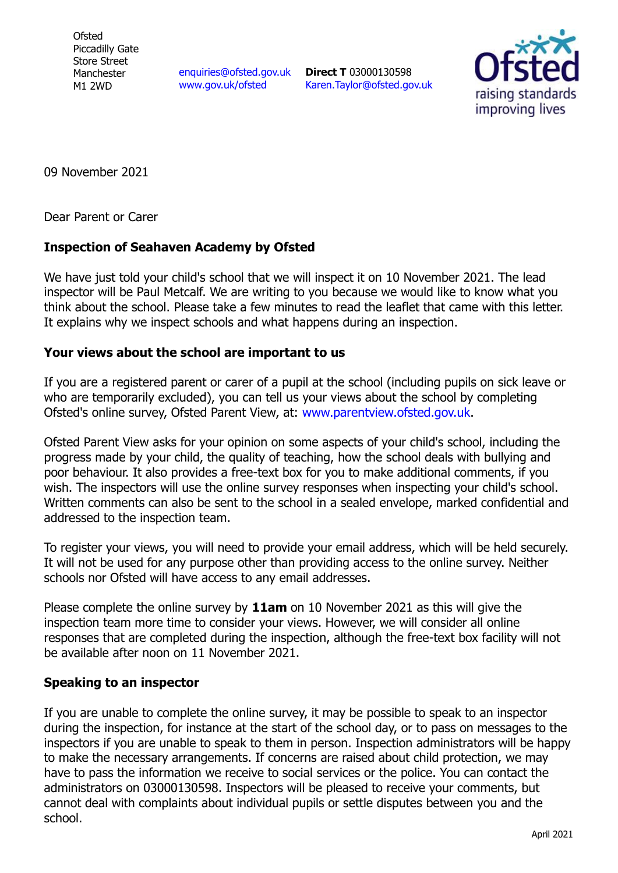**Ofsted** Piccadilly Gate Store Street Manchester M1 2WD

[enquiries@ofsted.gov.uk](mailto:enquiries@ofsted.gov.uk) [www.gov.uk/ofsted](http://www.gov.uk/ofsted)

**Direct T** 03000130598 [Karen.Taylor@ofsted.gov.uk](mailto:Karen.Taylor@ofsted.gov.uk)



09 November 2021

Dear Parent or Carer

## **Inspection of Seahaven Academy by Ofsted**

We have just told your child's school that we will inspect it on 10 November 2021. The lead inspector will be Paul Metcalf. We are writing to you because we would like to know what you think about the school. Please take a few minutes to read the leaflet that came with this letter. It explains why we inspect schools and what happens during an inspection.

## **Your views about the school are important to us**

If you are a registered parent or carer of a pupil at the school (including pupils on sick leave or who are temporarily excluded), you can tell us your views about the school by completing Ofsted's online survey, Ofsted Parent View, at: [www.parentview.ofsted.gov.uk.](http://www.parentview.ofsted.gov.uk/)

Ofsted Parent View asks for your opinion on some aspects of your child's school, including the progress made by your child, the quality of teaching, how the school deals with bullying and poor behaviour. It also provides a free-text box for you to make additional comments, if you wish. The inspectors will use the online survey responses when inspecting your child's school. Written comments can also be sent to the school in a sealed envelope, marked confidential and addressed to the inspection team.

To register your views, you will need to provide your email address, which will be held securely. It will not be used for any purpose other than providing access to the online survey. Neither schools nor Ofsted will have access to any email addresses.

Please complete the online survey by **11am** on 10 November 2021 as this will give the inspection team more time to consider your views. However, we will consider all online responses that are completed during the inspection, although the free-text box facility will not be available after noon on 11 November 2021.

## **Speaking to an inspector**

If you are unable to complete the online survey, it may be possible to speak to an inspector during the inspection, for instance at the start of the school day, or to pass on messages to the inspectors if you are unable to speak to them in person. Inspection administrators will be happy to make the necessary arrangements. If concerns are raised about child protection, we may have to pass the information we receive to social services or the police. You can contact the administrators on 03000130598. Inspectors will be pleased to receive your comments, but cannot deal with complaints about individual pupils or settle disputes between you and the school.